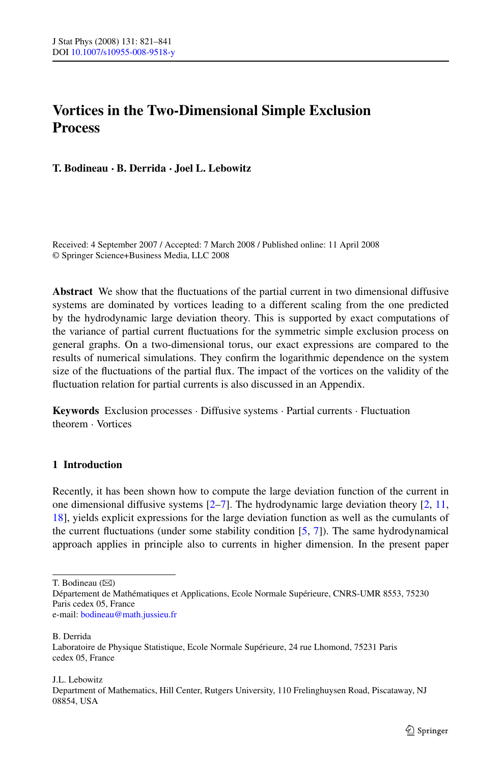# **Vortices in the Two-Dimensional Simple Exclusion Process**

**T. Bodineau · B. Derrida · Joel L. Lebowitz**

Received: 4 September 2007 / Accepted: 7 March 2008 / Published online: 11 April 2008 © Springer Science+Business Media, LLC 2008

**Abstract** We show that the fluctuations of the partial current in two dimensional diffusive systems are dominated by vortices leading to a different scaling from the one predicted by the hydrodynamic large deviation theory. This is supported by exact computations of the variance of partial current fluctuations for the symmetric simple exclusion process on general graphs. On a two-dimensional torus, our exact expressions are compared to the results of numerical simulations. They confirm the logarithmic dependence on the system size of the fluctuations of the partial flux. The impact of the vortices on the validity of the fluctuation relation for partial currents is also discussed in an Appendix.

**Keywords** Exclusion processes · Diffusive systems · Partial currents · Fluctuation theorem · Vortices

# **1 Introduction**

Recently, it has been shown how to compute the large deviation function of the current in one dimensional diffusive systems  $[2-7]$ . The hydrodynamic large deviation theory  $[2, 11]$  $[2, 11]$  $[2, 11]$  $[2, 11]$  $[2, 11]$ , [18](#page-20-0)], yields explicit expressions for the large deviation function as well as the cumulants of the current fluctuations (under some stability condition [\[5](#page-20-0), [7](#page-20-0)]). The same hydrodynamical approach applies in principle also to currents in higher dimension. In the present paper

T. Bodineau  $(\boxtimes)$ 

B. Derrida

J.L. Lebowitz Department of Mathematics, Hill Center, Rutgers University, 110 Frelinghuysen Road, Piscataway, NJ 08854, USA

Département de Mathématiques et Applications, Ecole Normale Supérieure, CNRS-UMR 8553, 75230 Paris cedex 05, France e-mail: [bodineau@math.jussieu.fr](mailto:bodineau@math.jussieu.fr)

Laboratoire de Physique Statistique, Ecole Normale Supérieure, 24 rue Lhomond, 75231 Paris cedex 05, France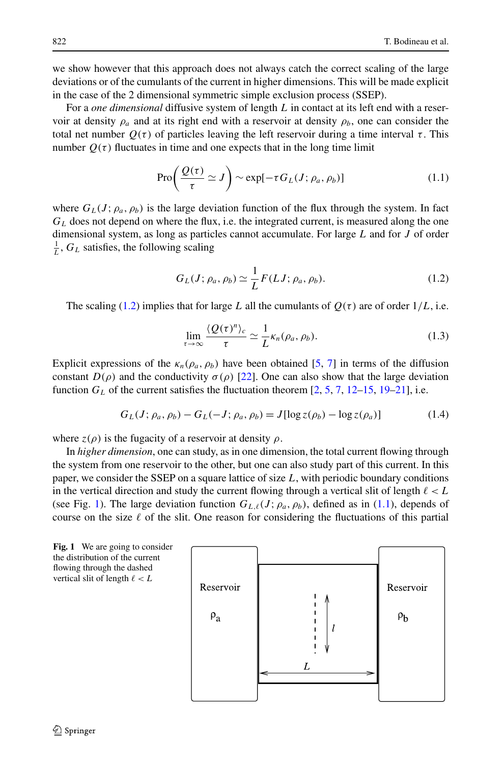<span id="page-1-0"></span>we show however that this approach does not always catch the correct scaling of the large deviations or of the cumulants of the current in higher dimensions. This will be made explicit in the case of the 2 dimensional symmetric simple exclusion process (SSEP).

For a *one dimensional* diffusive system of length *L* in contact at its left end with a reservoir at density  $\rho_a$  and at its right end with a reservoir at density  $\rho_b$ , one can consider the total net number  $Q(τ)$  of particles leaving the left reservoir during a time interval  $τ$ . This number  $Q(\tau)$  fluctuates in time and one expects that in the long time limit

$$
\operatorname{Pro}\left(\frac{Q(\tau)}{\tau} \simeq J\right) \sim \exp[-\tau G_L(J; \rho_a, \rho_b)] \tag{1.1}
$$

where  $G_L(J; \rho_a, \rho_b)$  is the large deviation function of the flux through the system. In fact  $G<sub>L</sub>$  does not depend on where the flux, i.e. the integrated current, is measured along the one dimensional system, as long as particles cannot accumulate. For large *L* and for *J* of order  $\frac{1}{L}$ ,  $G_L$  satisfies, the following scaling

$$
G_L(J; \rho_a, \rho_b) \simeq \frac{1}{L} F(LJ; \rho_a, \rho_b). \tag{1.2}
$$

The scaling (1.2) implies that for large *L* all the cumulants of  $Q(\tau)$  are of order  $1/L$ , i.e.

$$
\lim_{\tau \to \infty} \frac{\langle Q(\tau)^n \rangle_c}{\tau} \simeq \frac{1}{L} \kappa_n(\rho_a, \rho_b). \tag{1.3}
$$

Explicit expressions of the  $\kappa_n(\rho_a, \rho_b)$  have been obtained [\[5,](#page-20-0) [7](#page-20-0)] in terms of the diffusion constant  $D(\rho)$  and the conductivity  $\sigma(\rho)$  [\[22\]](#page-20-0). One can also show that the large deviation function  $G_L$  of the current satisfies the fluctuation theorem  $[2, 5, 7, 12-15, 19-21]$  $[2, 5, 7, 12-15, 19-21]$  $[2, 5, 7, 12-15, 19-21]$  $[2, 5, 7, 12-15, 19-21]$  $[2, 5, 7, 12-15, 19-21]$  $[2, 5, 7, 12-15, 19-21]$  $[2, 5, 7, 12-15, 19-21]$  $[2, 5, 7, 12-15, 19-21]$  $[2, 5, 7, 12-15, 19-21]$  $[2, 5, 7, 12-15, 19-21]$  $[2, 5, 7, 12-15, 19-21]$ , i.e.

$$
G_L(J; \rho_a, \rho_b) - G_L(-J; \rho_a, \rho_b) = J[\log z(\rho_b) - \log z(\rho_a)]
$$
 (1.4)

where  $z(\rho)$  is the fugacity of a reservoir at density  $\rho$ .

In *higher dimension*, one can study, as in one dimension, the total current flowing through the system from one reservoir to the other, but one can also study part of this current. In this paper, we consider the SSEP on a square lattice of size *L*, with periodic boundary conditions in the vertical direction and study the current flowing through a vertical slit of length  $\ell < L$ (see Fig. 1). The large deviation function  $G_{L,\ell}(J; \rho_a, \rho_b)$ , defined as in (1.1), depends of course on the size  $\ell$  of the slit. One reason for considering the fluctuations of this partial

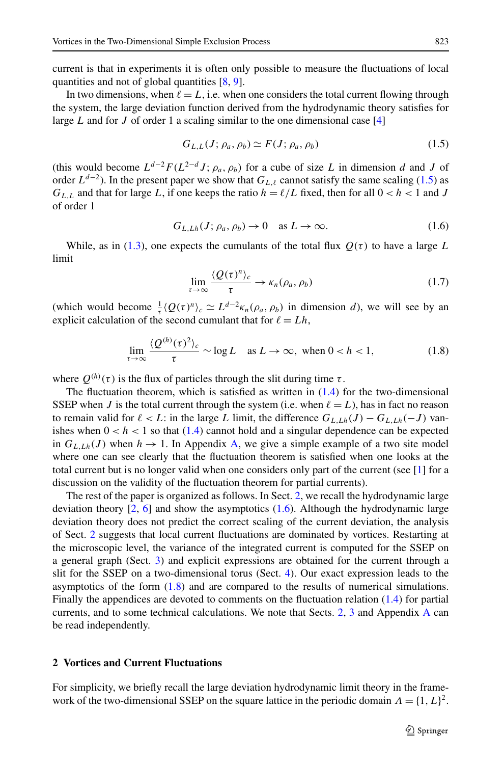<span id="page-2-0"></span>current is that in experiments it is often only possible to measure the fluctuations of local quantities and not of global quantities [\[8,](#page-20-0) [9](#page-20-0)].

In two dimensions, when  $\ell = L$ , i.e. when one considers the total current flowing through the system, the large deviation function derived from the hydrodynamic theory satisfies for large *L* and for *J* of order 1 a scaling similar to the one dimensional case [\[4](#page-20-0)]

$$
G_{L,L}(J; \rho_a, \rho_b) \simeq F(J; \rho_a, \rho_b) \tag{1.5}
$$

(this would become  $L^{d-2}F(L^{2-d}J; \rho_a, \rho_b)$  for a cube of size *L* in dimension *d* and *J* of order  $L^{d-2}$ ). In the present paper we show that  $G_{L,\ell}$  cannot satisfy the same scaling (1.5) as  $G_{L,L}$  and that for large *L*, if one keeps the ratio  $h = \ell/L$  fixed, then for all  $0 < h < 1$  and *J* of order 1

$$
G_{L,Lh}(J; \rho_a, \rho_b) \to 0 \quad \text{as } L \to \infty. \tag{1.6}
$$

While, as in [\(1.3](#page-1-0)), one expects the cumulants of the total flux  $O(\tau)$  to have a large L limit

$$
\lim_{\tau \to \infty} \frac{\langle Q(\tau)^n \rangle_c}{\tau} \to \kappa_n(\rho_a, \rho_b) \tag{1.7}
$$

(which would become  $\frac{1}{\tau} \langle Q(\tau)^n \rangle_c \simeq L^{d-2} \kappa_n(\rho_a, \rho_b)$  in dimension *d*), we will see by an explicit calculation of the second cumulant that for  $\ell = Lh$ ,

$$
\lim_{\tau \to \infty} \frac{\langle Q^{(h)}(\tau)^2 \rangle_c}{\tau} \sim \log L \quad \text{as } L \to \infty, \text{ when } 0 < h < 1,\tag{1.8}
$$

where  $O^{(h)}(\tau)$  is the flux of particles through the slit during time  $\tau$ .

The fluctuation theorem, which is satisfied as written in  $(1.4)$  $(1.4)$  for the two-dimensional SSEP when *J* is the total current through the system (i.e. when  $\ell = L$ ), has in fact no reason to remain valid for  $\ell < L$ : in the large *L* limit, the difference  $G_{L,Lh}(J) - G_{L,Lh}(-J)$  vanishes when  $0 < h < 1$  so that [\(1.4](#page-1-0)) cannot hold and a singular dependence can be expected in  $G_{L,Lh}(J)$  when  $h \to 1$ . In Appendix [A,](#page-16-0) we give a simple example of a two site model where one can see clearly that the fluctuation theorem is satisfied when one looks at the total current but is no longer valid when one considers only part of the current (see [[1](#page-19-0)] for a discussion on the validity of the fluctuation theorem for partial currents).

The rest of the paper is organized as follows. In Sect. 2, we recall the hydrodynamic large deviation theory  $[2, 6]$  $[2, 6]$  $[2, 6]$  $[2, 6]$  and show the asymptotics  $(1.6)$ . Although the hydrodynamic large deviation theory does not predict the correct scaling of the current deviation, the analysis of Sect. 2 suggests that local current fluctuations are dominated by vortices. Restarting at the microscopic level, the variance of the integrated current is computed for the SSEP on a general graph (Sect. [3](#page-7-0)) and explicit expressions are obtained for the current through a slit for the SSEP on a two-dimensional torus (Sect. [4](#page-10-0)). Our exact expression leads to the asymptotics of the form  $(1.8)$  and are compared to the results of numerical simulations. Finally the appendices are devoted to comments on the fluctuation relation [\(1.4\)](#page-1-0) for partial currents, and to some technical calculations. We note that Sects. 2, [3](#page-7-0) and Appendix [A](#page-16-0) can be read independently.

#### **2 Vortices and Current Fluctuations**

For simplicity, we briefly recall the large deviation hydrodynamic limit theory in the framework of the two-dimensional SSEP on the square lattice in the periodic domain  $\Lambda = \{1, L\}^2$ .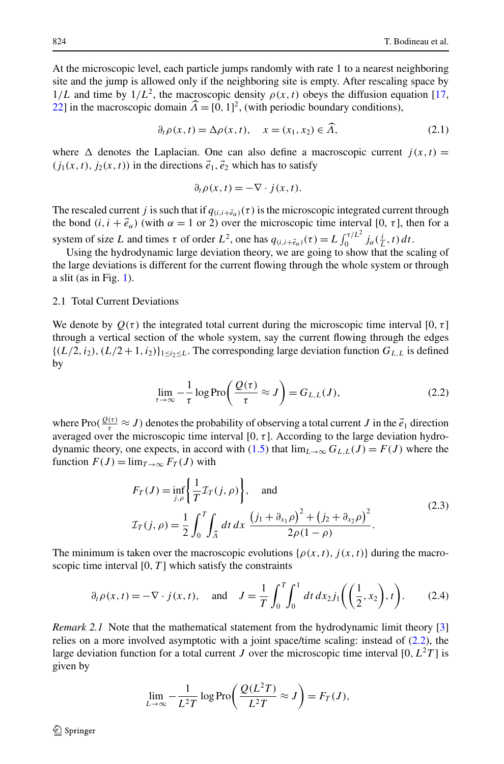<span id="page-3-0"></span>At the microscopic level, each particle jumps randomly with rate 1 to a nearest neighboring site and the jump is allowed only if the neighboring site is empty. After rescaling space by  $1/L$  and time by  $1/L<sup>2</sup>$ , the macroscopic density  $\rho(x, t)$  obeys the diffusion equation [[17](#page-20-0), [22](#page-20-0)] in the macroscopic domain  $\hat{A} = [0, 1]^2$ , (with periodic boundary conditions),

$$
\partial_t \rho(x, t) = \Delta \rho(x, t), \quad x = (x_1, x_2) \in \widehat{A}, \tag{2.1}
$$

where  $\Delta$  denotes the Laplacian. One can also define a macroscopic current  $j(x, t)$  =  $(j_1(x, t), j_2(x, t))$  in the directions  $\vec{e}_1, \vec{e}_2$  which has to satisfy

$$
\partial_t \rho(x, t) = -\nabla \cdot j(x, t).
$$

The rescaled current *j* is such that if  $q_{(i,i+\vec{e}_\alpha)}(\tau)$  is the microscopic integrated current through the bond  $(i, i + \vec{e}_{\alpha})$  (with  $\alpha = 1$  or 2) over the microscopic time interval [0,  $\tau$ ], then for a system of size *L* and times  $\tau$  of order  $L^2$ , one has  $q_{(i,i+\vec{e}_\alpha)}(\tau) = L \int_0^{\tau/L^2} j_\alpha(\frac{i}{L},t) dt$ .

Using the hydrodynamic large deviation theory, we are going to show that the scaling of the large deviations is different for the current flowing through the whole system or through a slit (as in Fig.  $1$ ).

## 2.1 Total Current Deviations

We denote by  $Q(\tau)$  the integrated total current during the microscopic time interval [0,  $\tau$ ] through a vertical section of the whole system, say the current flowing through the edges  ${(L/2, i_2), (L/2 + 1, i_2)}_{1 \le i_2 \le L}$ . The corresponding large deviation function  $G_{L,L}$  is defined by

$$
\lim_{\tau \to \infty} -\frac{1}{\tau} \log \operatorname{Pro}\left(\frac{\mathcal{Q}(\tau)}{\tau} \approx J\right) = G_{L,L}(J),\tag{2.2}
$$

where Pro $(\frac{Q(\tau)}{\tau} \approx J)$  denotes the probability of observing a total current *J* in the  $\vec{e}_1$  direction averaged over the microscopic time interval [0*,τ* ]. According to the large deviation hydro-dynamic theory, one expects, in accord with [\(1.5](#page-2-0)) that  $\lim_{L\to\infty} G_{L,L}(J) = F(J)$  where the function  $F(J) = \lim_{T \to \infty} F_T(J)$  with

$$
F_T(J) = \inf_{j,\rho} \left\{ \frac{1}{T} \mathcal{I}_T(j,\rho) \right\}, \text{ and}
$$
  
\n
$$
\mathcal{I}_T(j,\rho) = \frac{1}{2} \int_0^T \int_{\hat{\Lambda}} dt \, dx \, \frac{(j_1 + \partial_{x_1} \rho)^2 + (j_2 + \partial_{x_2} \rho)^2}{2\rho(1 - \rho)}.
$$
\n(2.3)

The minimum is taken over the macroscopic evolutions  $\{\rho(x,t), j(x,t)\}$  during the macroscopic time interval  $[0, T]$  which satisfy the constraints

$$
\partial_t \rho(x, t) = -\nabla \cdot j(x, t), \text{ and } J = \frac{1}{T} \int_0^T \int_0^1 dt \, dx_2 j_1\left(\left(\frac{1}{2}, x_2\right), t\right).
$$
 (2.4)

*Remark 2.1* Note that the mathematical statement from the hydrodynamic limit theory [[3](#page-20-0)] relies on a more involved asymptotic with a joint space/time scaling: instead of (2.2), the large deviation function for a total current *J* over the microscopic time interval [0,  $L^2T$ ] is given by

$$
\lim_{L \to \infty} -\frac{1}{L^2 T} \log \operatorname{Pro}\left(\frac{Q(L^2 T)}{L^2 T} \approx J\right) = F_T(J),
$$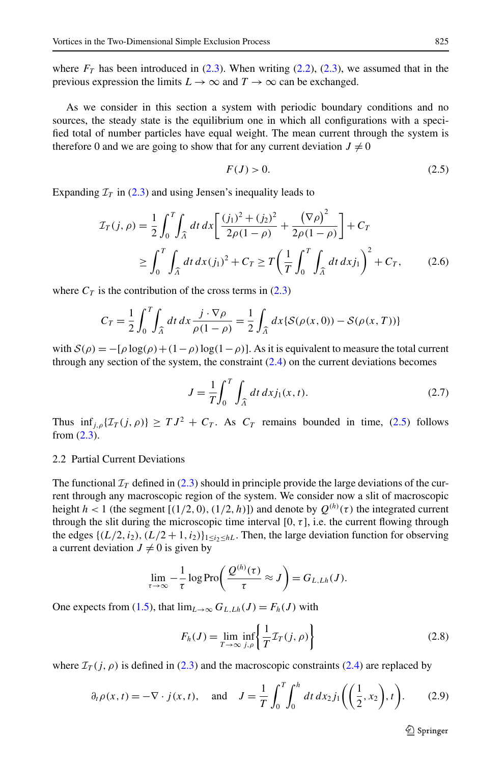<span id="page-4-0"></span>where  $F_T$  has been introduced in ([2.3\)](#page-3-0). When writing [\(2.2\)](#page-3-0), ([2.3](#page-3-0)), we assumed that in the previous expression the limits  $L \to \infty$  and  $T \to \infty$  can be exchanged.

As we consider in this section a system with periodic boundary conditions and no sources, the steady state is the equilibrium one in which all configurations with a specified total of number particles have equal weight. The mean current through the system is therefore 0 and we are going to show that for any current deviation  $J \neq 0$ 

$$
F(J) > 0. \tag{2.5}
$$

Expanding  $\mathcal{I}_T$  in ([2.3\)](#page-3-0) and using Jensen's inequality leads to

$$
\mathcal{I}_T(j,\rho) = \frac{1}{2} \int_0^T \int_{\hat{\Lambda}} dt \, dx \left[ \frac{(j_1)^2 + (j_2)^2}{2\rho(1-\rho)} + \frac{(\nabla \rho)^2}{2\rho(1-\rho)} \right] + C_T
$$
\n
$$
\geq \int_0^T \int_{\hat{\Lambda}} dt \, dx (j_1)^2 + C_T \geq T \left( \frac{1}{T} \int_0^T \int_{\hat{\Lambda}} dt \, dx j_1 \right)^2 + C_T, \qquad (2.6)
$$

where  $C_T$  is the contribution of the cross terms in ([2.3\)](#page-3-0)

$$
C_T = \frac{1}{2} \int_0^T \int_{\widehat{\Lambda}} dt \, dx \, \frac{j \cdot \nabla \rho}{\rho(1 - \rho)} = \frac{1}{2} \int_{\widehat{\Lambda}} dx \{ \mathcal{S}(\rho(x, 0)) - \mathcal{S}(\rho(x, T)) \}
$$

with  $S(\rho) = -[\rho \log(\rho) + (1-\rho) \log(1-\rho)]$ . As it is equivalent to measure the total current through any section of the system, the constraint ([2.4\)](#page-3-0) on the current deviations becomes

$$
J = \frac{1}{T} \int_0^T \int_{\widehat{\Lambda}} dt \, dx j_1(x, t).
$$
 (2.7)

Thus  $\inf_{i,\rho} \{ \mathcal{I}_T(j,\rho) \} \geq T J^2 + C_T$ . As  $C_T$  remains bounded in time, (2.5) follows from ([2.3\)](#page-3-0).

# 2.2 Partial Current Deviations

The functional  $I_T$  defined in ([2.3\)](#page-3-0) should in principle provide the large deviations of the current through any macroscopic region of the system. We consider now a slit of macroscopic height  $h < 1$  (the segment  $[(1/2, 0), (1/2, h)]$ ) and denote by  $Q^{(h)}(\tau)$  the integrated current through the slit during the microscopic time interval  $[0, \tau]$ , i.e. the current flowing through the edges  $\{(L/2, i_2), (L/2 + 1, i_2)\}_{1 \le i_2 \le hL}$ . Then, the large deviation function for observing a current deviation  $J \neq 0$  is given by

$$
\lim_{\tau \to \infty} -\frac{1}{\tau} \log \mathrm{Pro}\bigg( \frac{\mathcal{Q}^{(h)}(\tau)}{\tau} \approx J \bigg) = G_{L,Lh}(J).
$$

One expects from [\(1.5](#page-2-0)), that  $\lim_{L\to\infty} G_{L,Lh}(J) = F_h(J)$  with

$$
F_h(J) = \lim_{T \to \infty} \inf_{j,\rho} \left\{ \frac{1}{T} \mathcal{I}_T(j,\rho) \right\} \tag{2.8}
$$

where  $\mathcal{I}_T(i, \rho)$  is defined in ([2.3\)](#page-3-0) and the macroscopic constraints ([2.4\)](#page-3-0) are replaced by

$$
\partial_t \rho(x, t) = -\nabla \cdot j(x, t), \text{ and } J = \frac{1}{T} \int_0^T \int_0^h dt \, dx_2 j_1\left(\left(\frac{1}{2}, x_2\right), t\right).
$$
 (2.9)

 $\bigcirc$  Springer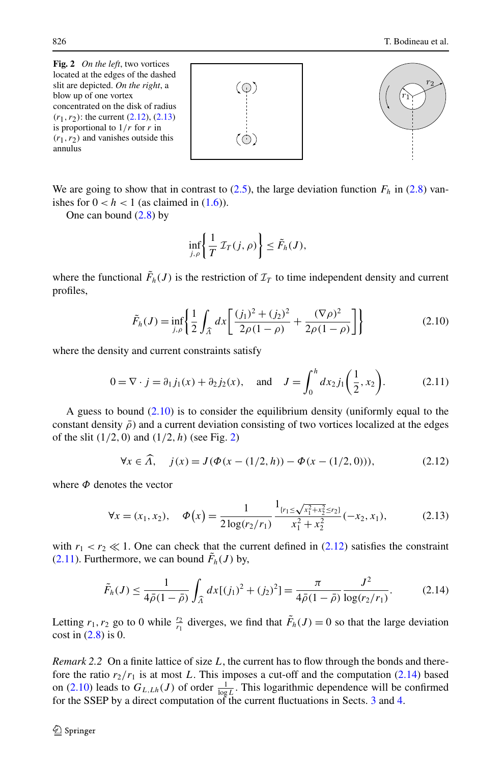<span id="page-5-0"></span>**Fig. 2** *On the left*, two vortices located at the edges of the dashed slit are depicted. *On the right*, a blow up of one vortex concentrated on the disk of radius *(r*1*,r*2*)*: the current (2.12), (2.13) is proportional to 1*/r* for *r* in *(r*1*,r*2*)* and vanishes outside this annulus





We are going to show that in contrast to  $(2.5)$ , the large deviation function  $F_h$  in  $(2.8)$  $(2.8)$  vanishes for  $0 < h < 1$  (as claimed in  $(1.6)$ ).

One can bound  $(2.8)$  $(2.8)$  $(2.8)$  by

$$
\inf_{j,\rho}\left\{\frac{1}{T}\,\mathcal{I}_T(j,\rho)\right\}\leq \tilde{F}_h(J),
$$

where the functional  $\tilde{F}_h(J)$  is the restriction of  $\mathcal{I}_T$  to time independent density and current profiles,

$$
\tilde{F}_h(J) = \inf_{j,\rho} \left\{ \frac{1}{2} \int_{\widehat{\Lambda}} dx \left[ \frac{(j_1)^2 + (j_2)^2}{2\rho(1-\rho)} + \frac{(\nabla \rho)^2}{2\rho(1-\rho)} \right] \right\}
$$
(2.10)

where the density and current constraints satisfy

$$
0 = \nabla \cdot j = \partial_1 j_1(x) + \partial_2 j_2(x), \text{ and } J = \int_0^h dx_2 j_1\left(\frac{1}{2}, x_2\right). \tag{2.11}
$$

A guess to bound (2.10) is to consider the equilibrium density (uniformly equal to the constant density  $\bar{\rho}$  and a current deviation consisting of two vortices localized at the edges of the slit *(*1*/*2*,* 0*)* and *(*1*/*2*,h)* (see Fig. 2)

$$
\forall x \in \widehat{A}, \quad j(x) = J(\Phi(x - (1/2, h)) - \Phi(x - (1/2, 0))), \tag{2.12}
$$

where *Φ* denotes the vector

$$
\forall x = (x_1, x_2), \quad \Phi(x) = \frac{1}{2\log(r_2/r_1)} \frac{1_{\{r_1 \le \sqrt{x_1^2 + x_2^2} \le r_2\}}}{x_1^2 + x_2^2} (-x_2, x_1), \tag{2.13}
$$

with  $r_1 < r_2 \ll 1$ . One can check that the current defined in (2.12) satisfies the constraint (2.11). Furthermore, we can bound  $\tilde{F}_h(J)$  by,

$$
\tilde{F}_h(J) \le \frac{1}{4\bar{\rho}(1-\bar{\rho})} \int_{\widehat{\Lambda}} dx \left[ (j_1)^2 + (j_2)^2 \right] = \frac{\pi}{4\bar{\rho}(1-\bar{\rho})} \frac{J^2}{\log(r_2/r_1)}.
$$
 (2.14)

Letting  $r_1, r_2$  go to 0 while  $\frac{r_2}{r_1}$  diverges, we find that  $\tilde{F}_h(J) = 0$  so that the large deviation cost in  $(2.8)$  $(2.8)$  is 0.

*Remark 2.2* On a finite lattice of size *L*, the current has to flow through the bonds and therefore the ratio  $r_2/r_1$  is at most L. This imposes a cut-off and the computation (2.14) based on (2.10) leads to  $G_{L,Lh}(J)$  of order  $\frac{1}{\log L}$ . This logarithmic dependence will be confirmed for the SSEP by a direct computation of the current fluctuations in Sects. [3](#page-7-0) and [4](#page-10-0).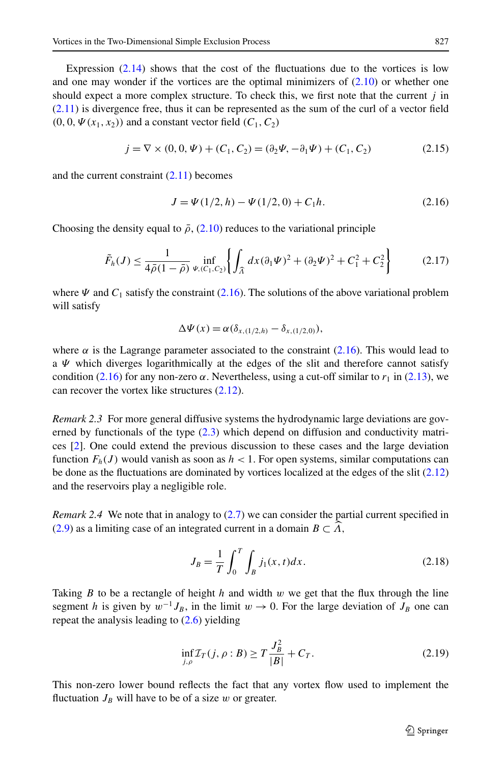Expression  $(2.14)$  shows that the cost of the fluctuations due to the vortices is low and one may wonder if the vortices are the optimal minimizers of  $(2.10)$  $(2.10)$  $(2.10)$  or whether one should expect a more complex structure. To check this, we first note that the current *j* in ([2.11\)](#page-5-0) is divergence free, thus it can be represented as the sum of the curl of a vector field  $(0, 0, \Psi(x_1, x_2))$  and a constant vector field  $(C_1, C_2)$ 

$$
j = \nabla \times (0, 0, \Psi) + (C_1, C_2) = (\partial_2 \Psi, -\partial_1 \Psi) + (C_1, C_2)
$$
 (2.15)

and the current constraint  $(2.11)$  $(2.11)$  $(2.11)$  becomes

$$
J = \Psi(1/2, h) - \Psi(1/2, 0) + C_1 h.
$$
 (2.16)

Choosing the density equal to  $\bar{\rho}$ , ([2.10](#page-5-0)) reduces to the variational principle

$$
\tilde{F}_h(J) \le \frac{1}{4\bar{\rho}(1-\bar{\rho})} \inf_{\Psi, (C_1, C_2)} \left\{ \int_{\hat{\Lambda}} dx (\partial_1 \Psi)^2 + (\partial_2 \Psi)^2 + C_1^2 + C_2^2 \right\} \tag{2.17}
$$

where  $\Psi$  and  $C_1$  satisfy the constraint (2.16). The solutions of the above variational problem will satisfy

$$
\Delta \Psi(x) = \alpha(\delta_{x,(1/2,h)} - \delta_{x,(1/2,0)}),
$$

where  $\alpha$  is the Lagrange parameter associated to the constraint (2.16). This would lead to a *Ψ* which diverges logarithmically at the edges of the slit and therefore cannot satisfy condition (2.16) for any non-zero  $\alpha$ . Nevertheless, using a cut-off similar to  $r_1$  in [\(2.13\)](#page-5-0), we can recover the vortex like structures ([2.12](#page-5-0)).

*Remark 2.3* For more general diffusive systems the hydrodynamic large deviations are governed by functionals of the type [\(2.3](#page-3-0)) which depend on diffusion and conductivity matrices [[2](#page-20-0)]. One could extend the previous discussion to these cases and the large deviation function  $F_h(J)$  would vanish as soon as  $h < 1$ . For open systems, similar computations can be done as the fluctuations are dominated by vortices localized at the edges of the slit ([2.12](#page-5-0)) and the reservoirs play a negligible role.

*Remark 2.4* We note that in analogy to ([2.7](#page-4-0)) we can consider the partial current specified in ([2.9\)](#page-4-0) as a limiting case of an integrated current in a domain  $B \subset A$ ,

$$
J_B = \frac{1}{T} \int_0^T \int_B j_1(x, t) dx.
$$
 (2.18)

Taking *B* to be a rectangle of height *h* and width *w* we get that the flux through the line segment *h* is given by  $w^{-1}J_B$ , in the limit  $w \to 0$ . For the large deviation of  $J_B$  one can repeat the analysis leading to  $(2.6)$  $(2.6)$  yielding

$$
\inf_{j,\rho} \mathcal{I}_T(j,\rho:B) \ge T \frac{J_B^2}{|B|} + C_T. \tag{2.19}
$$

This non-zero lower bound reflects the fact that any vortex flow used to implement the fluctuation  $J_B$  will have to be of a size  $w$  or greater.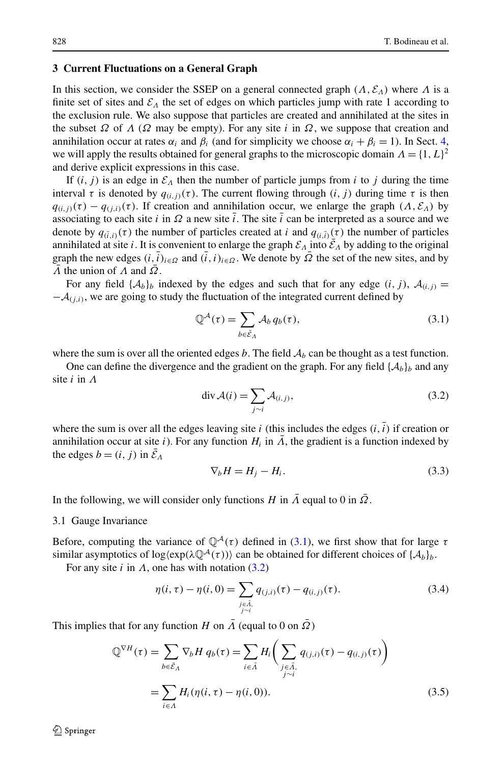## <span id="page-7-0"></span>**3 Current Fluctuations on a General Graph**

In this section, we consider the SSEP on a general connected graph  $(A, \mathcal{E}_A)$  where  $\Lambda$  is a finite set of sites and  $\mathcal{E}_\Lambda$  the set of edges on which particles jump with rate 1 according to the exclusion rule. We also suppose that particles are created and annihilated at the sites in the subset  $\Omega$  of  $\Lambda$  ( $\Omega$  may be empty). For any site *i* in  $\Omega$ , we suppose that creation and annihilation occur at rates  $\alpha_i$  and  $\beta_i$  (and for simplicity we choose  $\alpha_i + \beta_i = 1$ ). In Sect. [4](#page-10-0), we will apply the results obtained for general graphs to the microscopic domain  $\Lambda = \{1, L\}^2$ and derive explicit expressions in this case.

If  $(i, j)$  is an edge in  $\mathcal{E}_\Lambda$  then the number of particle jumps from *i* to *j* during the time interval  $\tau$  is denoted by  $q_{(i,j)}(\tau)$ . The current flowing through  $(i, j)$  during time  $\tau$  is then  $q_{(i,j)}(\tau) - q_{(j,i)}(\tau)$ . If creation and annihilation occur, we enlarge the graph  $(A, \mathcal{E}_A)$  by associating to each site *i* in  $\Omega$  a new site *i*. The site *i* can be interpreted as a source and we denote by  $q_{(\bar{i},i)}(\tau)$  the number of particles created at *i* and  $q_{(i,\bar{i})}(\tau)$  the number of particles annihilated at site *i*. It is convenient to enlarge the graph  $\mathcal{E}_A$  into  $\bar{\mathcal{E}}_A$  by adding to the original graph the new edges  $(i, \bar{i})_{i \in \Omega}$  and  $(\bar{i}, i)_{i \in \Omega}$ . We denote by  $\bar{\Omega}$  the set of the new sites, and by *Λ* the union of *Λ* and  $\overline{Q}$ .

For any field  $\{A_b\}_b$  indexed by the edges and such that for any edge  $(i, j)$ ,  $A_{(i,j)} =$  $-\mathcal{A}_{(i,i)}$ , we are going to study the fluctuation of the integrated current defined by

$$
\mathbb{Q}^{\mathcal{A}}(\tau) = \sum_{b \in \bar{\mathcal{E}}_{\Lambda}} \mathcal{A}_{b} q_{b}(\tau), \tag{3.1}
$$

where the sum is over all the oriented edges  $b$ . The field  $A_b$  can be thought as a test function.

One can define the divergence and the gradient on the graph. For any field  $\{A_b\}_b$  and any site *i* in *Λ*

$$
\operatorname{div} \mathcal{A}(i) = \sum_{j \sim i} \mathcal{A}_{(i,j)},\tag{3.2}
$$

where the sum is over all the edges leaving site  $i$  (this includes the edges  $(i, i)$ ) if creation or annihilation occur at site *i*). For any function  $H_i$  in  $\overline{A}$ , the gradient is a function indexed by the edges  $b = (i, j)$  in  $\bar{\mathcal{E}}_A$ 

$$
\nabla_b H = H_j - H_i. \tag{3.3}
$$

In the following, we will consider only functions *H* in  $\Lambda$  equal to 0 in  $\Omega$ .

#### 3.1 Gauge Invariance

Before, computing the variance of  $\mathbb{Q}^{\mathcal{A}}(\tau)$  defined in (3.1), we first show that for large  $\tau$ similar asymptotics of  $log(exp(\lambda \mathbb{Q}^{A}(\tau)))$  can be obtained for different choices of  $\{A_{b}\}_{b}$ .

For any site  $i$  in  $\Lambda$ , one has with notation (3.2)

$$
\eta(i,\tau) - \eta(i,0) = \sum_{\substack{j \in \bar{A}, \\ j \sim i}} q_{(j,i)}(\tau) - q_{(i,j)}(\tau). \tag{3.4}
$$

This implies that for any function *H* on  $\overline{\Lambda}$  (equal to 0 on  $\overline{\Omega}$ )

$$
\mathbb{Q}^{\nabla H}(\tau) = \sum_{b \in \mathcal{E}_A} \nabla_b H q_b(\tau) = \sum_{i \in \bar{A}} H_i \bigg( \sum_{\substack{j \in \bar{A}, \\ j \sim i}} q_{(j,i)}(\tau) - q_{(i,j)}(\tau) \bigg)
$$

$$
= \sum_{i \in A} H_i (\eta(i, \tau) - \eta(i, 0)). \tag{3.5}
$$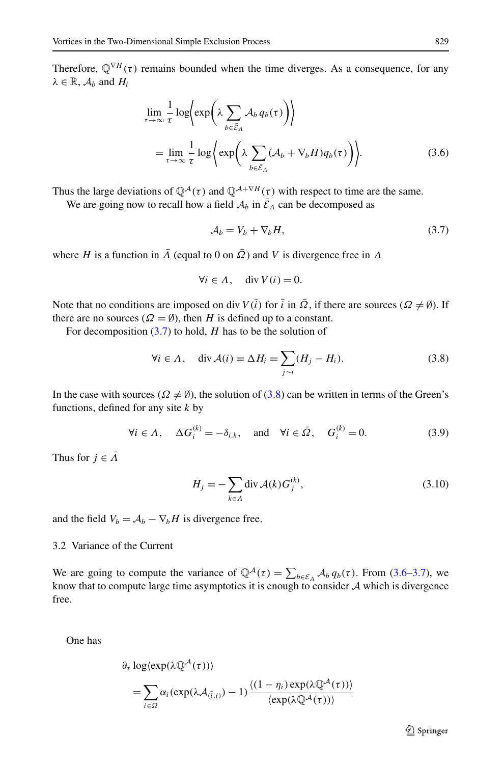<span id="page-8-0"></span>Therefore,  $\mathbb{Q}^{\nabla H}(\tau)$  remains bounded when the time diverges. As a consequence, for any  $\lambda \in \mathbb{R}$ ,  $\mathcal{A}_b$  and  $H_i$ 

$$
\lim_{\tau \to \infty} \frac{1}{\tau} \log \Biggl( \exp \Biggl( \lambda \sum_{b \in \tilde{\mathcal{E}}_A} A_b q_b(\tau) \Biggr) \Biggr) \n= \lim_{\tau \to \infty} \frac{1}{\tau} \log \Biggl( \exp \Biggl( \lambda \sum_{b \in \tilde{\mathcal{E}}_A} (A_b + \nabla_b H) q_b(\tau) \Biggr) \Biggr).
$$
\n(3.6)

Thus the large deviations of  $\mathbb{Q}^{\mathcal{A}}(\tau)$  and  $\mathbb{Q}^{\mathcal{A}+\nabla H}(\tau)$  with respect to time are the same.

We are going now to recall how a field  $A_b$  in  $\bar{E}_A$  can be decomposed as

$$
\mathcal{A}_b = V_b + \nabla_b H,\tag{3.7}
$$

where *H* is a function in  $\overline{A}$  (equal to 0 on  $\overline{Q}$ ) and *V* is divergence free in  $\overline{A}$ 

$$
\forall i \in \Lambda, \quad \text{div } V(i) = 0.
$$

Note that no conditions are imposed on div  $V(\bar{i})$  for  $\bar{i}$  in  $\bar{\Omega}$ , if there are sources ( $\Omega \neq \emptyset$ ). If there are no sources ( $\Omega = \emptyset$ ), then *H* is defined up to a constant.

For decomposition (3.7) to hold, *H* has to be the solution of

$$
\forall i \in \Lambda, \quad \text{div}\,\mathcal{A}(i) = \Delta H_i = \sum_{j \sim i} (H_j - H_i). \tag{3.8}
$$

In the case with sources ( $\Omega \neq \emptyset$ ), the solution of (3.8) can be written in terms of the Green's functions, defined for any site *k* by

$$
\forall i \in \Lambda, \quad \Delta G_i^{(k)} = -\delta_{i,k}, \quad \text{and} \quad \forall i \in \bar{\Omega}, \quad G_i^{(k)} = 0. \tag{3.9}
$$

Thus for  $j \in \overline{\Lambda}$ 

$$
H_j = -\sum_{k \in \Lambda} \operatorname{div} \mathcal{A}(k) G_j^{(k)},\tag{3.10}
$$

and the field  $V_b = A_b - \nabla_b H$  is divergence free.

# 3.2 Variance of the Current

We are going to compute the variance of  $\mathbb{Q}^{\mathcal{A}}(\tau) = \sum_{b \in \mathcal{E}_{\Lambda}} \mathcal{A}_{b} q_{b}(\tau)$ . From (3.6–3.7), we know that to compute large time asymptotics it is enough to consider  $A$  which is divergence free.

One has

$$
\partial_{\tau} \log \langle \exp(\lambda \mathbb{Q}^{\mathcal{A}}(\tau)) \rangle
$$
  
= 
$$
\sum_{i \in \Omega} \alpha_{i} (\exp(\lambda \mathcal{A}_{(\overline{i},i)}) - 1) \frac{\langle (1 - \eta_{i}) \exp(\lambda \mathbb{Q}^{\mathcal{A}}(\tau)) \rangle}{\langle \exp(\lambda \mathbb{Q}^{\mathcal{A}}(\tau)) \rangle}
$$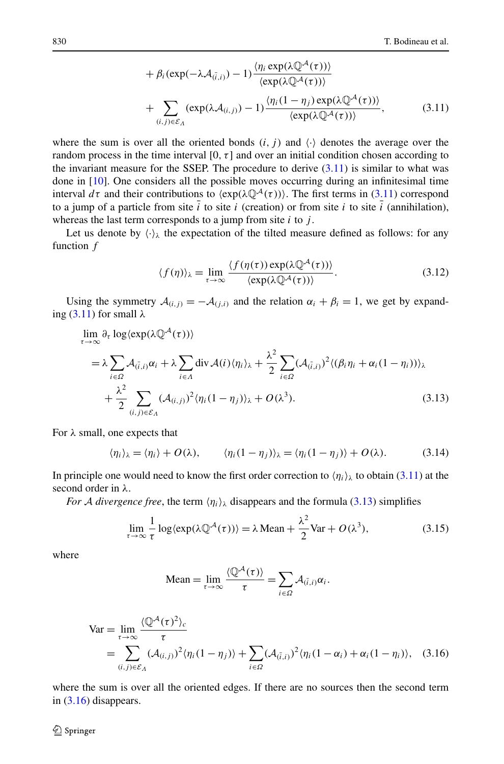+ 
$$
\beta_i(\exp(-\lambda \mathcal{A}_{(\tilde{i},i)}) - 1) \frac{\langle \eta_i \exp(\lambda \mathbb{Q}^{\mathcal{A}}(\tau)) \rangle}{\langle \exp(\lambda \mathbb{Q}^{\mathcal{A}}(\tau)) \rangle}
$$
  
+  $\sum_{(i,j) \in \mathcal{E}_{\Lambda}} (\exp(\lambda \mathcal{A}_{(i,j)}) - 1) \frac{\langle \eta_i (1 - \eta_j) \exp(\lambda \mathbb{Q}^{\mathcal{A}}(\tau)) \rangle}{\langle \exp(\lambda \mathbb{Q}^{\mathcal{A}}(\tau)) \rangle},$  (3.11)

<span id="page-9-0"></span>where the sum is over all the oriented bonds  $(i, j)$  and  $\langle \cdot \rangle$  denotes the average over the random process in the time interval  $[0, \tau]$  and over an initial condition chosen according to the invariant measure for the SSEP. The procedure to derive  $(3.11)$  is similar to what was done in [[10](#page-20-0)]. One considers all the possible moves occurring during an infinitesimal time interval  $d\tau$  and their contributions to  $\langle \exp(\lambda \mathbb{Q}^{\mathcal{A}}(\tau)) \rangle$ . The first terms in (3.11) correspond to a jump of a particle from site  $i$  to site  $i$  (creation) or from site  $i$  to site  $i$  (annihilation), whereas the last term corresponds to a jump from site *i* to *j* .

Let us denote by  $\langle \cdot \rangle_{\lambda}$  the expectation of the tilted measure defined as follows: for any function *f*

$$
\langle f(\eta) \rangle_{\lambda} = \lim_{\tau \to \infty} \frac{\langle f(\eta(\tau)) \exp(\lambda \mathbb{Q}^{\mathcal{A}}(\tau)) \rangle}{\langle \exp(\lambda \mathbb{Q}^{\mathcal{A}}(\tau)) \rangle}.
$$
 (3.12)

Using the symmetry  $A(i,j) = -A(i,j)$  and the relation  $\alpha_i + \beta_i = 1$ , we get by expanding (3.11) for small *λ*

$$
\lim_{\tau \to \infty} \partial_{\tau} \log \langle \exp(\lambda \mathbb{Q}^{\mathcal{A}}(\tau)) \rangle
$$
\n
$$
= \lambda \sum_{i \in \Omega} \mathcal{A}_{(\tilde{i},i)} \alpha_i + \lambda \sum_{i \in \Lambda} \text{div} \mathcal{A}(i) \langle \eta_i \rangle_{\lambda} + \frac{\lambda^2}{2} \sum_{i \in \Omega} (\mathcal{A}_{(\tilde{i},i)})^2 \langle (\beta_i \eta_i + \alpha_i (1 - \eta_i)) \rangle_{\lambda}
$$
\n
$$
+ \frac{\lambda^2}{2} \sum_{(i,j) \in \mathcal{E}_{\Lambda}} (\mathcal{A}_{(i,j)})^2 \langle \eta_i (1 - \eta_j) \rangle_{\lambda} + O(\lambda^3). \tag{3.13}
$$

For *λ* small, one expects that

$$
\langle \eta_i \rangle_{\lambda} = \langle \eta_i \rangle + O(\lambda), \qquad \langle \eta_i (1 - \eta_j) \rangle_{\lambda} = \langle \eta_i (1 - \eta_j) \rangle + O(\lambda). \tag{3.14}
$$

In principle one would need to know the first order correction to  $\langle \eta_i \rangle_{\lambda}$  to obtain (3.11) at the second order in *λ*.

*For* A *divergence free*, the term  $\langle \eta_i \rangle_{\lambda}$  disappears and the formula (3.13) simplifies

$$
\lim_{\tau \to \infty} \frac{1}{\tau} \log \langle \exp(\lambda \mathbb{Q}^{\mathcal{A}}(\tau)) \rangle = \lambda \operatorname{Mean} + \frac{\lambda^2}{2} \operatorname{Var} + O(\lambda^3),\tag{3.15}
$$

where

Mean = 
$$
\lim_{\tau \to \infty} \frac{\langle \mathbb{Q}^{\mathcal{A}}(\tau) \rangle}{\tau} = \sum_{i \in \Omega} \mathcal{A}_{(\bar{i},i)} \alpha_i.
$$

$$
\begin{split} \text{Var} &= \lim_{\tau \to \infty} \frac{\langle \mathbb{Q}^{\mathcal{A}}(\tau)^2 \rangle_c}{\tau} \\ &= \sum_{(i,j) \in \mathcal{E}_{\Lambda}} (\mathcal{A}_{(i,j)})^2 \langle \eta_i (1 - \eta_j) \rangle + \sum_{i \in \Omega} (\mathcal{A}_{(\bar{i},i)})^2 \langle \eta_i (1 - \alpha_i) + \alpha_i (1 - \eta_i) \rangle, \quad (3.16) \end{split}
$$

where the sum is over all the oriented edges. If there are no sources then the second term in (3.16) disappears.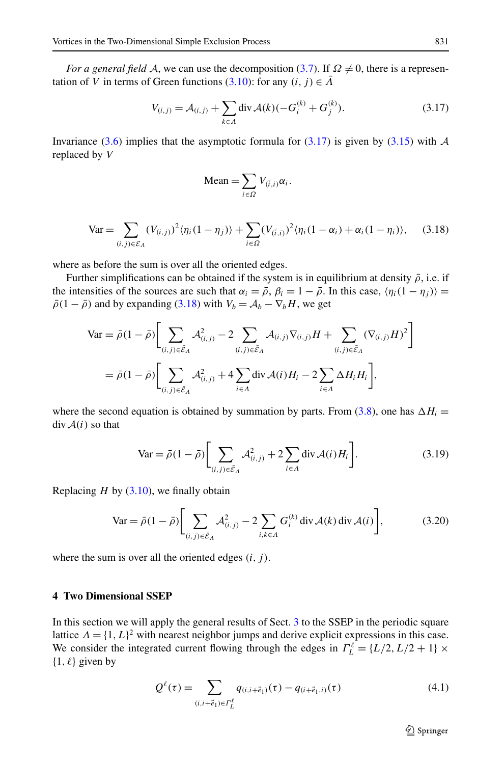<span id="page-10-0"></span>*For a general field* A, we can use the decomposition ([3.7\)](#page-8-0). If  $\Omega \neq 0$ , there is a representation of *V* in terms of Green functions ([3.10](#page-8-0)): for any  $(i, j) \in \overline{\Lambda}$ 

$$
V_{(i,j)} = A_{(i,j)} + \sum_{k \in \Lambda} \text{div } A(k)(-G_i^{(k)} + G_j^{(k)}).
$$
 (3.17)

Invariance ([3.6](#page-8-0)) implies that the asymptotic formula for (3.17) is given by [\(3.15\)](#page-9-0) with  $\mathcal A$ replaced by *V*

Mean = 
$$
\sum_{i \in \Omega} V_{(\bar{i},i)} \alpha_i.
$$

$$
\text{Var} = \sum_{(i,j)\in\mathcal{E}_A} (V_{(i,j)})^2 \langle \eta_i (1-\eta_j) \rangle + \sum_{i\in\Omega} (V_{(\bar{i},i)})^2 \langle \eta_i (1-\alpha_i) + \alpha_i (1-\eta_i) \rangle, \tag{3.18}
$$

where as before the sum is over all the oriented edges.

Further simplifications can be obtained if the system is in equilibrium at density  $\bar{\rho}$ , i.e. if the intensities of the sources are such that  $\alpha_i = \overline{\rho}$ ,  $\beta_i = 1 - \overline{\rho}$ . In this case,  $\langle \eta_i(1 - \eta_i) \rangle =$  $\bar{\rho}(1 - \bar{\rho})$  and by expanding (3.18) with  $V_b = A_b - \nabla_b H$ , we get

$$
\begin{split} \text{Var} &= \bar{\rho}(1-\bar{\rho}) \bigg[ \sum_{(i,j)\in\bar{\mathcal{E}}_{A}} \mathcal{A}_{(i,j)}^2 - 2 \sum_{(i,j)\in\bar{\mathcal{E}}_{A}} \mathcal{A}_{(i,j)} \nabla_{(i,j)} H + \sum_{(i,j)\in\bar{\mathcal{E}}_{A}} (\nabla_{(i,j)} H)^2 \bigg] \\ &= \bar{\rho}(1-\bar{\rho}) \bigg[ \sum_{(i,j)\in\bar{\mathcal{E}}_{A}} \mathcal{A}_{(i,j)}^2 + 4 \sum_{i\in A} \text{div} \, \mathcal{A}(i) H_i - 2 \sum_{i\in A} \Delta H_i H_i \bigg], \end{split}
$$

where the second equation is obtained by summation by parts. From  $(3.8)$  $(3.8)$  $(3.8)$ , one has  $\Delta H_i =$  $div A(i)$  so that

$$
\text{Var} = \bar{\rho}(1 - \bar{\rho}) \bigg[ \sum_{(i,j) \in \bar{\mathcal{E}}_A} \mathcal{A}_{(i,j)}^2 + 2 \sum_{i \in A} \text{div} \mathcal{A}(i) H_i \bigg]. \tag{3.19}
$$

Replacing  $H$  by  $(3.10)$  $(3.10)$  $(3.10)$ , we finally obtain

$$
\text{Var} = \bar{\rho}(1 - \bar{\rho}) \bigg[ \sum_{(i,j) \in \bar{\mathcal{E}}_{A}} \mathcal{A}_{(i,j)}^2 - 2 \sum_{i,k \in A} G_i^{(k)} \operatorname{div} \mathcal{A}(k) \operatorname{div} \mathcal{A}(i) \bigg],\tag{3.20}
$$

where the sum is over all the oriented edges  $(i, j)$ .

## **4 Two Dimensional SSEP**

In this section we will apply the general results of Sect. [3](#page-7-0) to the SSEP in the periodic square lattice  $\Lambda = \{1, L\}^2$  with nearest neighbor jumps and derive explicit expressions in this case. We consider the integrated current flowing through the edges in  $\Gamma_L^{\ell} = \{L/2, L/2 + 1\} \times$  $\{1, \ell\}$  given by

$$
Q^{\ell}(\tau) = \sum_{(i,i+\vec{e}_1)\in\Gamma_L^{\ell}} q_{(i,i+\vec{e}_1)}(\tau) - q_{(i+\vec{e}_1,i)}(\tau)
$$
(4.1)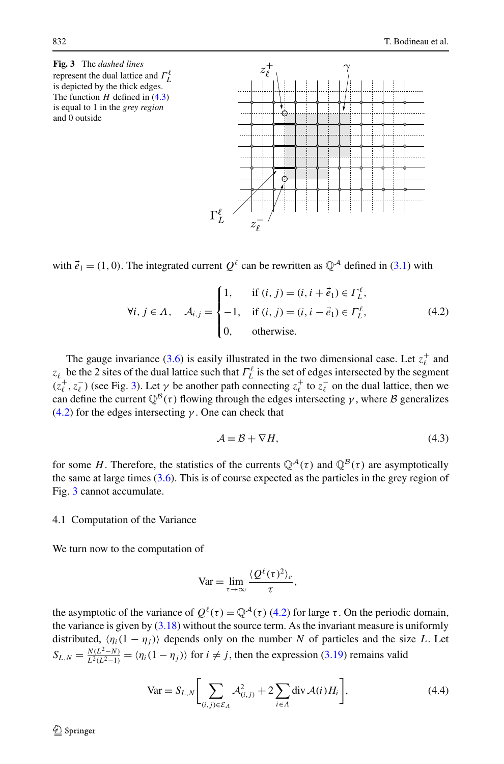<span id="page-11-0"></span>**Fig. 3** The *dashed lines* represent the dual lattice and *Γ* is depicted by the thick edges. The function *H* defined in (4.3) is equal to 1 in the *grey region* and 0 outside

with  $\vec{e}_1 = (1, 0)$ . The integrated current  $O^{\ell}$  can be rewritten as  $\mathbb{O}^{\mathcal{A}}$  defined in [\(3.1](#page-7-0)) with

 $\Gamma^\ell_I$ 

 $z_{\ell}^+$ 

ሕ

Ġ

$$
\forall i, j \in \Lambda, \quad \mathcal{A}_{i,j} = \begin{cases} 1, & \text{if } (i, j) = (i, i + \vec{e}_1) \in \Gamma_L^{\ell}, \\ -1, & \text{if } (i, j) = (i, i - \vec{e}_1) \in \Gamma_L^{\ell}, \\ 0, & \text{otherwise.} \end{cases} \tag{4.2}
$$

The gauge invariance [\(3.6](#page-8-0)) is easily illustrated in the two dimensional case. Let  $z_t^+$  and *z*<sub>*L*</sub> be the 2 sites of the dual lattice such that  $Γ_L^{\ell}$  is the set of edges intersected by the segment  $(z_\ell^+, z_\ell^-)$  (see Fig. 3). Let  $\gamma$  be another path connecting  $z_\ell^+$  to  $z_\ell^-$  on the dual lattice, then we can define the current  $\mathbb{Q}^{\mathcal{B}}(\tau)$  flowing through the edges intersecting *γ*, where *B* generalizes (4.2) for the edges intersecting *γ* . One can check that

$$
\mathcal{A} = \mathcal{B} + \nabla H,\tag{4.3}
$$

for some *H*. Therefore, the statistics of the currents  $\mathbb{Q}^{\mathcal{A}}(\tau)$  and  $\mathbb{Q}^{\mathcal{B}}(\tau)$  are asymptotically the same at large times [\(3.6\)](#page-8-0). This is of course expected as the particles in the grey region of Fig. 3 cannot accumulate.

#### 4.1 Computation of the Variance

We turn now to the computation of

$$
Var = \lim_{\tau \to \infty} \frac{\langle Q^{\ell}(\tau)^2 \rangle_c}{\tau},
$$

the asymptotic of the variance of  $Q^{\ell}(\tau) = Q^{\mathcal{A}}(\tau)$  (4.2) for large *τ*. On the periodic domain, the variance is given by  $(3.18)$  $(3.18)$  $(3.18)$  without the source term. As the invariant measure is uniformly distributed,  $\langle \eta_i(1 - \eta_j) \rangle$  depends only on the number *N* of particles and the size *L*. Let  $S_{L,N} = \frac{N(L^2-N)}{L^2(L^2-1)} = \langle \eta_i(1-\eta_j) \rangle$  for  $i \neq j$ , then the expression [\(3.19\)](#page-10-0) remains valid

$$
\text{Var} = S_{L,N} \bigg[ \sum_{(i,j) \in \mathcal{E}_A} \mathcal{A}_{(i,j)}^2 + 2 \sum_{i \in A} \text{div} \mathcal{A}(i) H_i \bigg],\tag{4.4}
$$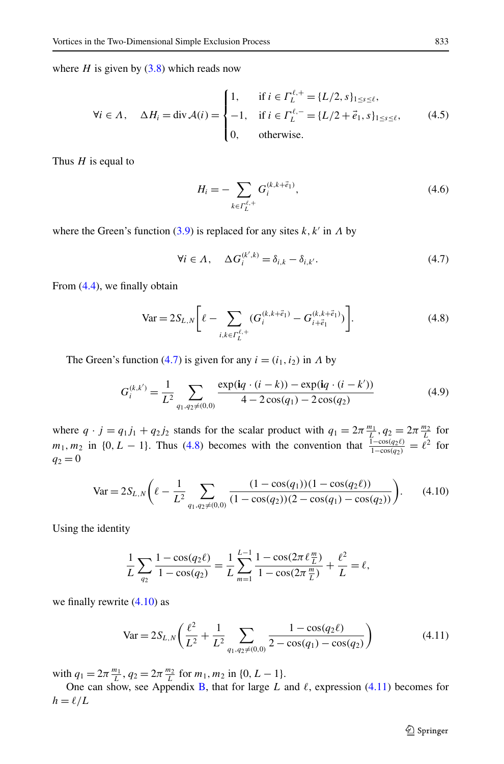<span id="page-12-0"></span>where  $H$  is given by  $(3.8)$  which reads now

$$
\forall i \in \Lambda, \quad \Delta H_i = \text{div}\,\mathcal{A}(i) = \begin{cases} 1, & \text{if } i \in \Gamma_L^{\ell,+} = \{L/2, s\}_{1 \le s \le \ell}, \\ -1, & \text{if } i \in \Gamma_L^{\ell,-} = \{L/2 + \vec{e}_1, s\}_{1 \le s \le \ell}, \\ 0, & \text{otherwise.} \end{cases} \tag{4.5}
$$

Thus *H* is equal to

$$
H_i = -\sum_{k \in \Gamma_L^{\ell,+}} G_i^{(k, k + \vec{e}_1)},\tag{4.6}
$$

where the Green's function  $(3.9)$  is replaced for any sites  $k, k'$  in  $\Lambda$  by

$$
\forall i \in \Lambda, \quad \Delta G_i^{(k',k)} = \delta_{i,k} - \delta_{i,k'}.
$$
\n(4.7)

From ([4.4\)](#page-11-0), we finally obtain

$$
\text{Var} = 2S_{L,N} \bigg[ \ell - \sum_{i,k \in \Gamma_L^{\ell,+}} (G_i^{(k,k+\vec{e}_1)} - G_{i+\vec{e}_1}^{(k,k+\vec{e}_1)}) \bigg]. \tag{4.8}
$$

The Green's function (4.7) is given for any  $i = (i_1, i_2)$  in  $\Lambda$  by

$$
G_i^{(k,k')} = \frac{1}{L^2} \sum_{q_1, q_2 \neq (0,0)} \frac{\exp(iq \cdot (i-k)) - \exp(iq \cdot (i-k'))}{4 - 2\cos(q_1) - 2\cos(q_2)} \tag{4.9}
$$

where  $q \cdot j = q_1 j_1 + q_2 j_2$  stands for the scalar product with  $q_1 = 2\pi \frac{m_1}{L}, q_2 = 2\pi \frac{m_2}{L}$  for  $m_1, m_2$  in {0*, L* − 1}. Thus (4.8) becomes with the convention that  $\frac{1-\cos(q_2\ell)}{1-\cos(q_2)} = \ell^2$  for  $q_2 = 0$ 

$$
\text{Var} = 2S_{L,N}\bigg(\ell - \frac{1}{L^2} \sum_{q_1, q_2 \neq (0,0)} \frac{(1 - \cos(q_1))(1 - \cos(q_2\ell))}{(1 - \cos(q_2))(2 - \cos(q_1) - \cos(q_2))}\bigg). \tag{4.10}
$$

Using the identity

$$
\frac{1}{L}\sum_{q_2}\frac{1-\cos(q_2\ell)}{1-\cos(q_2)}=\frac{1}{L}\sum_{m=1}^{L-1}\frac{1-\cos(2\pi\ell\frac{m}{L})}{1-\cos(2\pi\frac{m}{L})}+\frac{\ell^2}{L}=\ell,
$$

we finally rewrite (4.10) as

$$
\text{Var} = 2S_{L,N} \left( \frac{\ell^2}{L^2} + \frac{1}{L^2} \sum_{q_1, q_2 \neq (0,0)} \frac{1 - \cos(q_2 \ell)}{2 - \cos(q_1) - \cos(q_2)} \right) \tag{4.11}
$$

with  $q_1 = 2\pi \frac{m_1}{L}, q_2 = 2\pi \frac{m_2}{L}$  for  $m_1, m_2$  in  $\{0, L - 1\}.$ 

One can show, see Appendix [B](#page-18-0), that for large *L* and  $\ell$ , expression (4.11) becomes for  $h = \ell/L$ 

2 Springer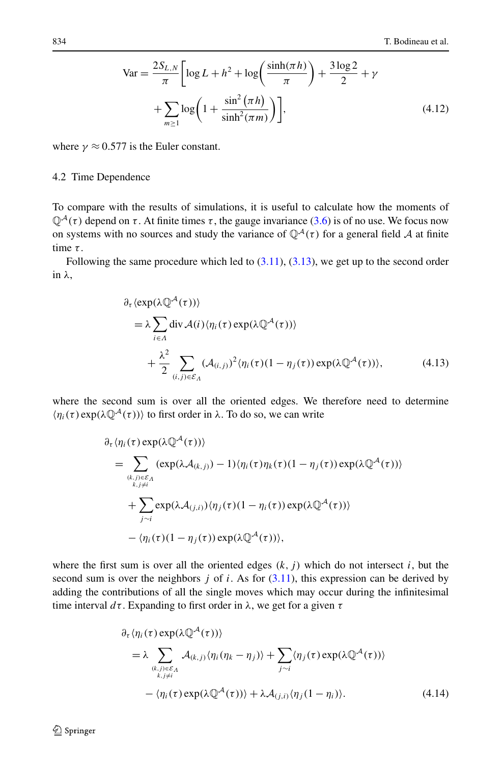<span id="page-13-0"></span>
$$
\text{Var} = \frac{2S_{L,N}}{\pi} \bigg[ \log L + h^2 + \log \bigg( \frac{\sinh(\pi h)}{\pi} \bigg) + \frac{3 \log 2}{2} + \gamma + \sum_{m \ge 1} \log \bigg( 1 + \frac{\sin^2(\pi h)}{\sinh^2(\pi m)} \bigg) \bigg],\tag{4.12}
$$

where  $\gamma \approx 0.577$  is the Euler constant.

## 4.2 Time Dependence

To compare with the results of simulations, it is useful to calculate how the moments of  $\mathbb{Q}^{\mathcal{A}}(\tau)$  depend on  $\tau$ . At finite times  $\tau$ , the gauge invariance ([3.6\)](#page-8-0) is of no use. We focus now on systems with no sources and study the variance of  $\mathbb{Q}^{\mathcal{A}}(\tau)$  for a general field A at finite time *τ* .

Following the same procedure which led to  $(3.11)$  $(3.11)$ ,  $(3.13)$ , we get up to the second order in *λ*,

$$
\partial_{\tau} \langle \exp(\lambda \mathbb{Q}^{\mathcal{A}}(\tau)) \rangle
$$
\n
$$
= \lambda \sum_{i \in \Lambda} \text{div} \mathcal{A}(i) \langle \eta_{i}(\tau) \exp(\lambda \mathbb{Q}^{\mathcal{A}}(\tau)) \rangle
$$
\n
$$
+ \frac{\lambda^{2}}{2} \sum_{(i,j) \in \mathcal{E}_{\Lambda}} (\mathcal{A}_{(i,j)})^{2} \langle \eta_{i}(\tau)(1 - \eta_{j}(\tau)) \exp(\lambda \mathbb{Q}^{\mathcal{A}}(\tau)) \rangle, \tag{4.13}
$$

where the second sum is over all the oriented edges. We therefore need to determine  $\langle \eta_i(\tau) \exp(\lambda \mathbb{Q}^{\mathcal{A}}(\tau)) \rangle$  to first order in  $\lambda$ . To do so, we can write

$$
\partial_{\tau} \langle \eta_i(\tau) \exp(\lambda \mathbb{Q}^{\mathcal{A}}(\tau)) \rangle \n= \sum_{\substack{(k,j) \in \mathcal{E}_{\Lambda} \\ k,j \neq i}} (\exp(\lambda \mathcal{A}_{(k,j)}) - 1) \langle \eta_i(\tau) \eta_k(\tau) (1 - \eta_j(\tau)) \exp(\lambda \mathbb{Q}^{\mathcal{A}}(\tau)) \rangle \n+ \sum_{j \sim i} \exp(\lambda \mathcal{A}_{(j,i)}) \langle \eta_j(\tau) (1 - \eta_i(\tau)) \exp(\lambda \mathbb{Q}^{\mathcal{A}}(\tau)) \rangle \n- \langle \eta_i(\tau) (1 - \eta_j(\tau)) \exp(\lambda \mathbb{Q}^{\mathcal{A}}(\tau)) \rangle,
$$

where the first sum is over all the oriented edges  $(k, j)$  which do not intersect  $i$ , but the second sum is over the neighbors  $j$  of  $i$ . As for  $(3.11)$  $(3.11)$ , this expression can be derived by adding the contributions of all the single moves which may occur during the infinitesimal time interval *dτ* . Expanding to first order in *λ*, we get for a given *τ*

$$
\partial_{\tau} \langle \eta_i(\tau) \exp(\lambda \mathbb{Q}^{\mathcal{A}}(\tau)) \rangle \n= \lambda \sum_{\substack{(k,j) \in \mathcal{E}_{\Lambda} \\ k,j \neq i}} \mathcal{A}_{(k,j)} \langle \eta_i(\eta_k - \eta_j) \rangle + \sum_{j \sim i} \langle \eta_j(\tau) \exp(\lambda \mathbb{Q}^{\mathcal{A}}(\tau)) \rangle \n- \langle \eta_i(\tau) \exp(\lambda \mathbb{Q}^{\mathcal{A}}(\tau)) \rangle + \lambda \mathcal{A}_{(j,i)} \langle \eta_j(1 - \eta_i) \rangle.
$$
\n(4.14)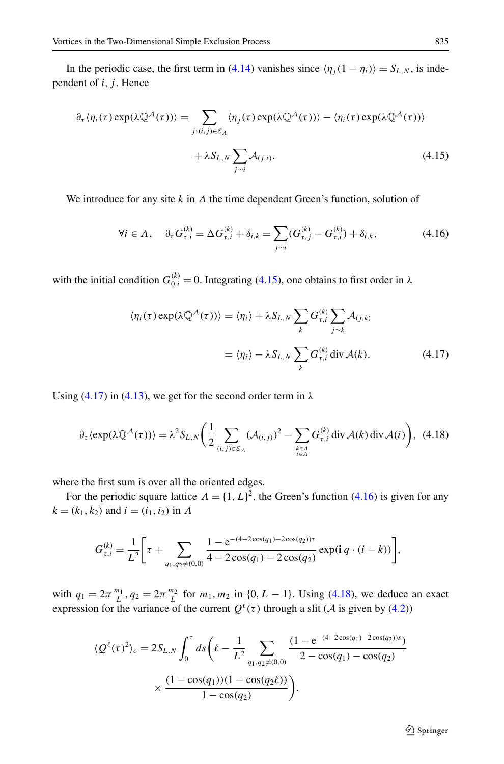In the periodic case, the first term in [\(4.14\)](#page-13-0) vanishes since  $\langle \eta_j(1 - \eta_i) \rangle = S_{L,N}$ , is independent of *i*, *j*. Hence

$$
\partial_{\tau} \langle \eta_i(\tau) \exp(\lambda \mathbb{Q}^{\mathcal{A}}(\tau)) \rangle = \sum_{j:(i,j) \in \mathcal{E}_{\Lambda}} \langle \eta_j(\tau) \exp(\lambda \mathbb{Q}^{\mathcal{A}}(\tau)) \rangle - \langle \eta_i(\tau) \exp(\lambda \mathbb{Q}^{\mathcal{A}}(\tau)) \rangle
$$
  
+  $\lambda S_{L,N} \sum_{j \sim i} \mathcal{A}_{(j,i)}.$  (4.15)

We introduce for any site *k* in *Λ* the time dependent Green's function, solution of

$$
\forall i \in \Lambda, \quad \partial_{\tau} G_{\tau,i}^{(k)} = \Delta G_{\tau,i}^{(k)} + \delta_{i,k} = \sum_{j \sim i} (G_{\tau,j}^{(k)} - G_{\tau,i}^{(k)}) + \delta_{i,k}, \tag{4.16}
$$

with the initial condition  $G_{0,i}^{(k)} = 0$ . Integrating (4.15), one obtains to first order in  $\lambda$ 

$$
\langle \eta_i(\tau) \exp(\lambda \mathbb{Q}^{\mathcal{A}}(\tau)) \rangle = \langle \eta_i \rangle + \lambda S_{L,N} \sum_k G_{\tau,i}^{(k)} \sum_{j \sim k} \mathcal{A}_{(j,k)}
$$

$$
= \langle \eta_i \rangle - \lambda S_{L,N} \sum_k G_{\tau,i}^{(k)} \operatorname{div} \mathcal{A}(k). \tag{4.17}
$$

Using  $(4.17)$  in  $(4.13)$  $(4.13)$  $(4.13)$ , we get for the second order term in  $\lambda$ 

$$
\partial_{\tau} \langle \exp(\lambda \mathbb{Q}^{\mathcal{A}}(\tau)) \rangle = \lambda^{2} S_{L,N} \bigg( \frac{1}{2} \sum_{(i,j) \in \mathcal{E}_{\Lambda}} (\mathcal{A}_{(i,j)})^{2} - \sum_{k \in \Lambda \atop i \in \Lambda} G_{\tau,i}^{(k)} \operatorname{div} \mathcal{A}(k) \operatorname{div} \mathcal{A}(i) \bigg), \tag{4.18}
$$

where the first sum is over all the oriented edges.

For the periodic square lattice  $\Lambda = \{1, L\}^2$ , the Green's function (4.16) is given for any  $k = (k_1, k_2)$  and  $i = (i_1, i_2)$  in *Λ* 

$$
G_{\tau,i}^{(k)} = \frac{1}{L^2} \bigg[ \tau + \sum_{q_1,q_2 \neq (0,0)} \frac{1 - e^{-(4-2\cos(q_1) - 2\cos(q_2))\tau}}{4 - 2\cos(q_1) - 2\cos(q_2)} \exp(\mathbf{i} \, q \cdot (i - k)) \bigg],
$$

with  $q_1 = 2\pi \frac{m_1}{L}, q_2 = 2\pi \frac{m_2}{L}$  for  $m_1, m_2$  in {0*, L* − 1}. Using (4.18), we deduce an exact expression for the variance of the current  $Q^{\ell}(\tau)$  through a slit (A is given by ([4.2\)](#page-11-0))

$$
\langle Q^{\ell}(\tau)^{2} \rangle_{c} = 2S_{L,N} \int_{0}^{\tau} ds \left( \ell - \frac{1}{L^{2}} \sum_{q_{1},q_{2} \neq (0,0)} \frac{(1 - e^{-(4 - 2\cos(q_{1}) - 2\cos(q_{2}))s})}{2 - \cos(q_{1}) - \cos(q_{2})} \times \frac{(1 - \cos(q_{1}))(1 - \cos(q_{2}\ell))}{1 - \cos(q_{2})} \right).
$$

 $\hat{\mathfrak{D}}$  Springer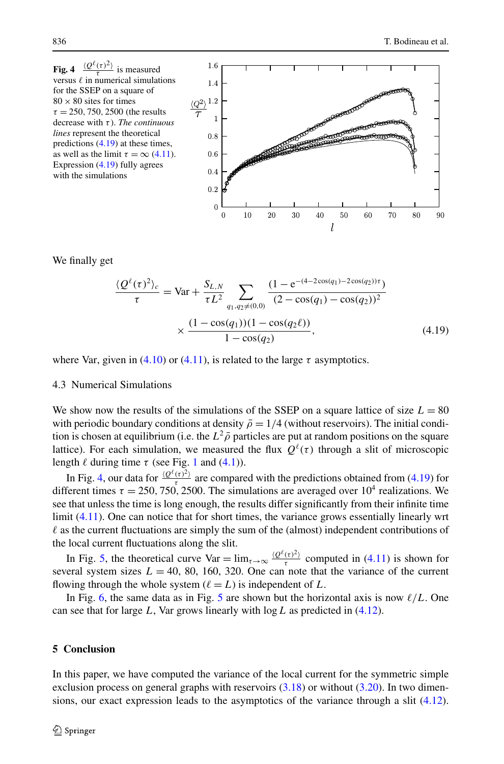<span id="page-15-0"></span>

We finally get

$$
\frac{\langle Q^{\ell}(\tau)^{2} \rangle_{c}}{\tau} = \text{Var} + \frac{S_{L,N}}{\tau L^{2}} \sum_{q_{1},q_{2} \neq (0,0)} \frac{(1 - e^{-(4 - 2\cos(q_{1}) - 2\cos(q_{2}))\tau})}{(2 - \cos(q_{1}) - \cos(q_{2}))^{2}}
$$

$$
\times \frac{(1 - \cos(q_{1}))(1 - \cos(q_{2}\ell))}{1 - \cos(q_{2})}, \tag{4.19}
$$

where Var, given in [\(4.10\)](#page-12-0) or ([4.11](#page-12-0)), is related to the large  $\tau$  asymptotics.

## 4.3 Numerical Simulations

We show now the results of the simulations of the SSEP on a square lattice of size  $L = 80$ with periodic boundary conditions at density  $\bar{\rho} = 1/4$  (without reservoirs). The initial condition is chosen at equilibrium (i.e. the  $L^2 \bar{\rho}$  particles are put at random positions on the square lattice). For each simulation, we measured the flux  $O^{\ell}(\tau)$  through a slit of microscopic length  $\ell$  during time  $\tau$  (see Fig. [1](#page-1-0) and [\(4.1\)](#page-10-0)).

In Fig. 4, our data for  $\frac{\langle Q^{\ell}(r)^2 \rangle}{r}$  are compared with the predictions obtained from (4.19) for different times  $\tau = 250, 750, 2500$ . The simulations are averaged over  $10^4$  realizations. We see that unless the time is long enough, the results differ significantly from their infinite time limit [\(4.11\)](#page-12-0). One can notice that for short times, the variance grows essentially linearly wrt  $\ell$  as the current fluctuations are simply the sum of the (almost) independent contributions of the local current fluctuations along the slit.

In Fig. [5,](#page-16-0) the theoretical curve Var =  $\lim_{\tau \to \infty} \frac{\langle Q^{\ell}(\tau)^2 \rangle}{\tau}$  computed in ([4.11](#page-12-0)) is shown for several system sizes  $L = 40, 80, 160, 320$ . One can note that the variance of the current flowing through the whole system  $(\ell = L)$  is independent of L.

In Fig. [6,](#page-16-0) the same data as in Fig. [5](#page-16-0) are shown but the horizontal axis is now  $\ell/L$ . One can see that for large *L*, Var grows linearly with log*L* as predicted in ([4.12\)](#page-13-0).

# **5 Conclusion**

In this paper, we have computed the variance of the local current for the symmetric simple exclusion process on general graphs with reservoirs ([3.18](#page-10-0)) or without ([3.20](#page-10-0)). In two dimensions, our exact expression leads to the asymptotics of the variance through a slit [\(4.12](#page-13-0)).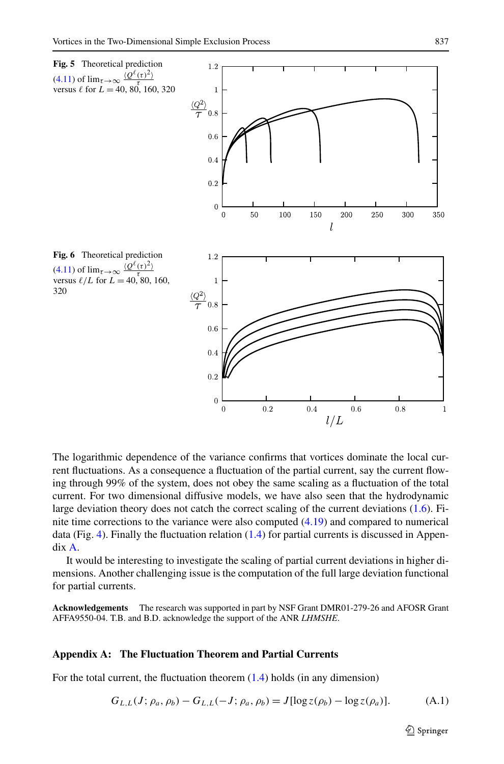<span id="page-16-0"></span>

The logarithmic dependence of the variance confirms that vortices dominate the local current fluctuations. As a consequence a fluctuation of the partial current, say the current flowing through 99% of the system, does not obey the same scaling as a fluctuation of the total current. For two dimensional diffusive models, we have also seen that the hydrodynamic large deviation theory does not catch the correct scaling of the current deviations [\(1.6](#page-2-0)). Finite time corrections to the variance were also computed ([4.19](#page-15-0)) and compared to numerical data (Fig. [4\)](#page-15-0). Finally the fluctuation relation  $(1.4)$  $(1.4)$  for partial currents is discussed in Appendix A.

It would be interesting to investigate the scaling of partial current deviations in higher dimensions. Another challenging issue is the computation of the full large deviation functional for partial currents.

**Acknowledgements** The research was supported in part by NSF Grant DMR01-279-26 and AFOSR Grant AFFA9550-04. T.B. and B.D. acknowledge the support of the ANR *LHMSHE*.

#### **Appendix A: The Fluctuation Theorem and Partial Currents**

For the total current, the fluctuation theorem [\(1.4](#page-1-0)) holds (in any dimension)

$$
G_{L,L}(J; \rho_a, \rho_b) - G_{L,L}(-J; \rho_a, \rho_b) = J[\log z(\rho_b) - \log z(\rho_a)].
$$
 (A.1)

 $\textcircled{2}$  Springer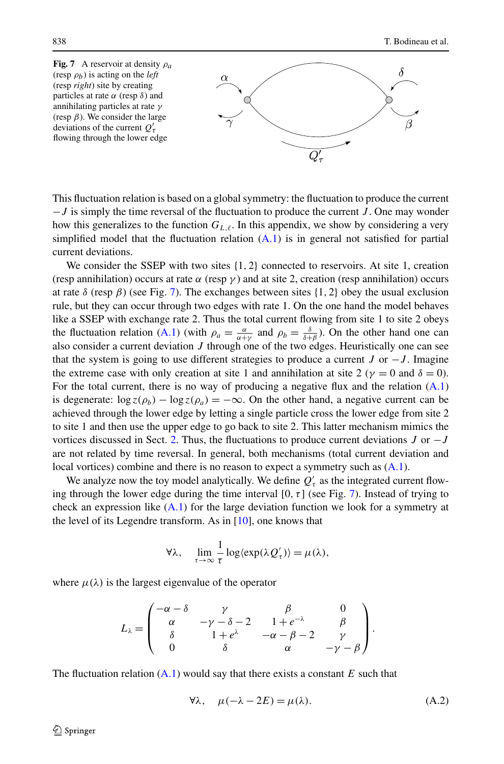<span id="page-17-0"></span>

This fluctuation relation is based on a global symmetry: the fluctuation to produce the current −*J* is simply the time reversal of the fluctuation to produce the current *J* . One may wonder how this generalizes to the function  $G_{L,\ell}$ . In this appendix, we show by considering a very simplified model that the fluctuation relation  $(A.1)$  $(A.1)$  is in general not satisfied for partial current deviations.

We consider the SSEP with two sites  $\{1, 2\}$  connected to reservoirs. At site 1, creation (resp annihilation) occurs at rate  $\alpha$  (resp  $\gamma$ ) and at site 2, creation (resp annihilation) occurs at rate  $\delta$  (resp  $\beta$ ) (see Fig. 7). The exchanges between sites {1, 2} obey the usual exclusion rule, but they can occur through two edges with rate 1. On the one hand the model behaves like a SSEP with exchange rate 2. Thus the total current flowing from site 1 to site 2 obeys the fluctuation relation [\(A.1\)](#page-16-0) (with  $\rho_a = \frac{\alpha}{\alpha + \gamma}$  and  $\rho_b = \frac{\delta}{\delta + \beta}$ ). On the other hand one can also consider a current deviation *J* through one of the two edges. Heuristically one can see that the system is going to use different strategies to produce a current *J* or  $-J$ . Imagine the extreme case with only creation at site 1 and annihilation at site 2 ( $\gamma = 0$  and  $\delta = 0$ ). For the total current, there is no way of producing a negative flux and the relation [\(A.1](#page-16-0)) is degenerate:  $\log z(\rho_b) - \log z(\rho_a) = -\infty$ . On the other hand, a negative current can be achieved through the lower edge by letting a single particle cross the lower edge from site 2 to site 1 and then use the upper edge to go back to site 2. This latter mechanism mimics the vortices discussed in Sect. [2.](#page-2-0) Thus, the fluctuations to produce current deviations *J* or −*J* are not related by time reversal. In general, both mechanisms (total current deviation and local vortices) combine and there is no reason to expect a symmetry such as  $(A.1)$  $(A.1)$ .

We analyze now the toy model analytically. We define  $Q'$ <sub>*τ*</sub> as the integrated current flowing through the lower edge during the time interval [0*,τ* ] (see Fig. 7). Instead of trying to check an expression like  $(A.1)$  $(A.1)$  for the large deviation function we look for a symmetry at the level of its Legendre transform. As in [[10](#page-20-0)], one knows that

$$
\forall \lambda, \quad \lim_{\tau \to \infty} \frac{1}{\tau} \log \langle \exp(\lambda Q'_{\tau}) \rangle = \mu(\lambda),
$$

where  $\mu(\lambda)$  is the largest eigenvalue of the operator

$$
L_{\lambda} = \begin{pmatrix} -\alpha - \delta & \gamma & \beta & 0 \\ \alpha & -\gamma - \delta - 2 & 1 + e^{-\lambda} & \beta \\ \delta & 1 + e^{\lambda} & -\alpha - \beta - 2 & \gamma \\ 0 & \delta & \alpha & -\gamma - \beta \end{pmatrix}.
$$

The fluctuation relation [\(A.1](#page-16-0)) would say that there exists a constant *E* such that

$$
\forall \lambda, \quad \mu(-\lambda - 2E) = \mu(\lambda). \tag{A.2}
$$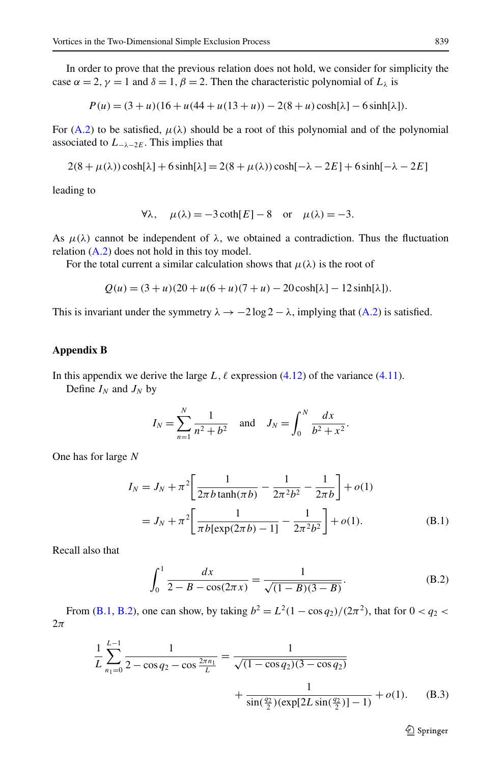<span id="page-18-0"></span>In order to prove that the previous relation does not hold, we consider for simplicity the case  $\alpha = 2$ ,  $\gamma = 1$  and  $\delta = 1$ ,  $\beta = 2$ . Then the characteristic polynomial of  $L_{\lambda}$  is

$$
P(u) = (3 + u)(16 + u(44 + u(13 + u)) - 2(8 + u)\cosh[\lambda] - 6\sinh[\lambda]).
$$

For [\(A.2](#page-17-0)) to be satisfied,  $\mu(\lambda)$  should be a root of this polynomial and of the polynomial associated to *L*<sup>−</sup>*λ*−2*<sup>E</sup>*. This implies that

$$
2(8 + \mu(\lambda))\cosh[\lambda] + 6\sinh[\lambda] = 2(8 + \mu(\lambda))\cosh[-\lambda - 2E] + 6\sinh[-\lambda - 2E]
$$

leading to

$$
\forall \lambda, \quad \mu(\lambda) = -3 \coth[E] - 8 \quad \text{or} \quad \mu(\lambda) = -3.
$$

As  $\mu(\lambda)$  cannot be independent of  $\lambda$ , we obtained a contradiction. Thus the fluctuation relation [\(A.2](#page-17-0)) does not hold in this toy model.

For the total current a similar calculation shows that  $\mu(\lambda)$  is the root of

$$
Q(u) = (3 + u)(20 + u(6 + u)(7 + u) - 20\cosh[\lambda] - 12\sinh[\lambda]).
$$

This is invariant under the symmetry  $\lambda \to -2 \log 2 - \lambda$ , implying that ([A.2\)](#page-17-0) is satisfied.

## **Appendix B**

In this appendix we derive the large  $L, \ell$  expression [\(4.12\)](#page-13-0) of the variance ([4.11\)](#page-12-0).

Define  $I_N$  and  $J_N$  by

$$
I_N = \sum_{n=1}^N \frac{1}{n^2 + b^2}
$$
 and  $J_N = \int_0^N \frac{dx}{b^2 + x^2}$ .

One has for large *N*

$$
I_N = J_N + \pi^2 \left[ \frac{1}{2\pi b \tanh(\pi b)} - \frac{1}{2\pi^2 b^2} - \frac{1}{2\pi b} \right] + o(1)
$$
  
=  $J_N + \pi^2 \left[ \frac{1}{\pi b [\exp(2\pi b) - 1]} - \frac{1}{2\pi^2 b^2} \right] + o(1).$  (B.1)

Recall also that

$$
\int_0^1 \frac{dx}{2 - B - \cos(2\pi x)} = \frac{1}{\sqrt{(1 - B)(3 - B)}}.
$$
\n(B.2)

From (B.1, B.2), one can show, by taking  $b^2 = L^2(1 - \cos q_2)/(2\pi^2)$ , that for  $0 < q_2 <$ 2*π*

$$
\frac{1}{L} \sum_{n_1=0}^{L-1} \frac{1}{2 - \cos q_2 - \cos \frac{2\pi n_1}{L}} = \frac{1}{\sqrt{(1 - \cos q_2)(3 - \cos q_2)}}
$$

$$
+ \frac{1}{\sin(\frac{q_2}{2})(\exp[2L \sin(\frac{q_2}{2})] - 1)} + o(1). \quad (B.3)
$$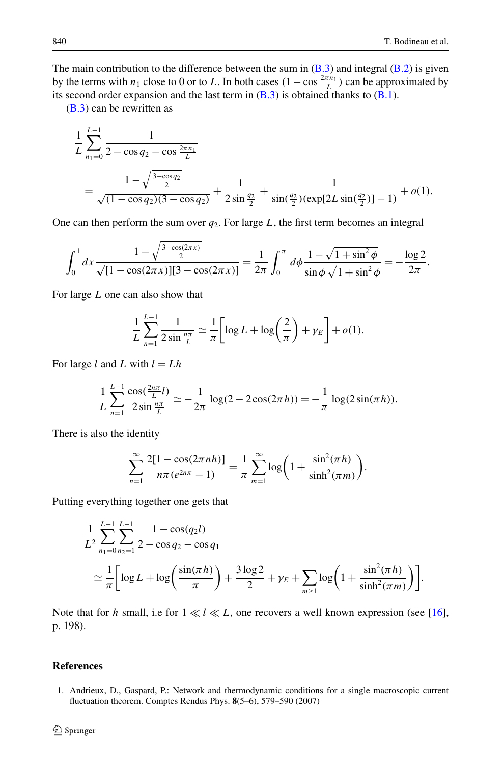<span id="page-19-0"></span>The main contribution to the difference between the sum in  $(B.3)$  $(B.3)$  and integral  $(B.2)$  is given by the terms with *n*<sub>1</sub> close to 0 or to *L*. In both cases  $(1 - \cos \frac{2\pi n_1}{L})$  can be approximated by its second order expansion and the last term in  $(B.3)$  $(B.3)$  $(B.3)$  is obtained thanks to  $(B.1)$ .

([B.3](#page-18-0)) can be rewritten as

$$
\frac{1}{L} \sum_{n_1=0}^{L-1} \frac{1}{2 - \cos q_2 - \cos \frac{2\pi n_1}{L}}
$$
\n
$$
= \frac{1 - \sqrt{\frac{3 - \cos q_2}{2}}}{\sqrt{(1 - \cos q_2)(3 - \cos q_2)}} + \frac{1}{2 \sin \frac{q_2}{2}} + \frac{1}{\sin(\frac{q_2}{2})(\exp[2L \sin(\frac{q_2}{2})] - 1)} + o(1).
$$

One can then perform the sum over  $q_2$ . For large L, the first term becomes an integral

$$
\int_0^1 dx \frac{1 - \sqrt{\frac{3 - \cos(2\pi x)}{2}}}{\sqrt{[1 - \cos(2\pi x)][3 - \cos(2\pi x)]}} = \frac{1}{2\pi} \int_0^{\pi} d\phi \frac{1 - \sqrt{1 + \sin^2 \phi}}{\sin \phi \sqrt{1 + \sin^2 \phi}} = -\frac{\log 2}{2\pi}.
$$

For large *L* one can also show that

$$
\frac{1}{L}\sum_{n=1}^{L-1}\frac{1}{2\sin\frac{n\pi}{L}}\simeq\frac{1}{\pi}\bigg[\log L+\log\bigg(\frac{2}{\pi}\bigg)+\gamma_E\bigg]+o(1).
$$

For large  $l$  and  $L$  with  $l = Lh$ 

$$
\frac{1}{L}\sum_{n=1}^{L-1}\frac{\cos(\frac{2n\pi}{L}l)}{2\sin(\frac{n\pi}{L})}\simeq -\frac{1}{2\pi}\log(2-2\cos(2\pi h))=-\frac{1}{\pi}\log(2\sin(\pi h)).
$$

There is also the identity

$$
\sum_{n=1}^{\infty} \frac{2[1 - \cos(2\pi n h)]}{n\pi (e^{2n\pi} - 1)} = \frac{1}{\pi} \sum_{m=1}^{\infty} \log\left(1 + \frac{\sin^2(\pi h)}{\sinh^2(\pi m)}\right).
$$

Putting everything together one gets that

$$
\frac{1}{L^2} \sum_{n_1=0}^{L-1} \sum_{n_2=1}^{L-1} \frac{1 - \cos(q_2 l)}{2 - \cos q_2 - \cos q_1} \n\approx \frac{1}{\pi} \left[ \log L + \log \left( \frac{\sin(\pi h)}{\pi} \right) + \frac{3 \log 2}{2} + \gamma_E + \sum_{m \ge 1} \log \left( 1 + \frac{\sin^2(\pi h)}{\sinh^2(\pi m)} \right) \right].
$$

Note that for *h* small, i.e for  $1 \ll l \ll L$ , one recovers a well known expression (see [[16](#page-20-0)], p. 198).

# **References**

1. Andrieux, D., Gaspard, P.: Network and thermodynamic conditions for a single macroscopic current fluctuation theorem. Comptes Rendus Phys. **8**(5–6), 579–590 (2007)